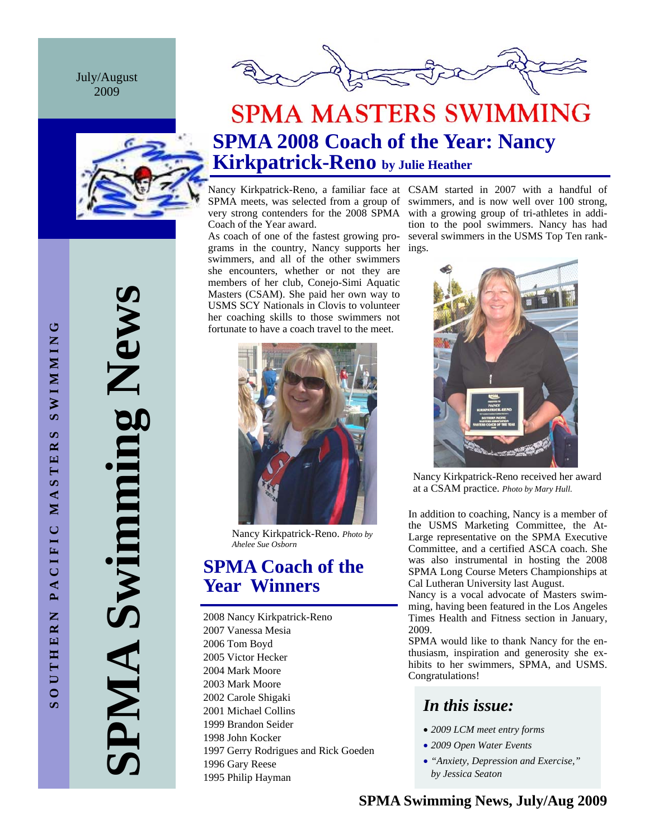July/August 2009





# **SPMA Swimming News**  PMA Swimming News

# **SPMA MASTERS SWIMMING SPMA 2008 Coach of the Year: Nancy Kirkpatrick-Reno by Julie Heather**

Coach of the Year award.

grams in the country, Nancy supports her ings. As coach of one of the fastest growing proswimmers, and all of the other swimmers she encounters, whether or not they are members of her club, Conejo-Simi Aquatic Masters (CSAM). She paid her own way to USMS SCY Nationals in Clovis to volunteer her coaching skills to those swimmers not fortunate to have a coach travel to the meet.



Nancy Kirkpatrick-Reno. *Photo by Ahelee Sue Osborn* 

## **SPMA Coach of the Year Winners**

2008 Nancy Kirkpatrick-Reno 2007 Vanessa Mesia 2006 Tom Boyd 2005 Victor Hecker 2004 Mark Moore 2003 Mark Moore 2002 Carole Shigaki 2001 Michael Collins 1999 Brandon Seider 1998 John Kocker 1997 Gerry Rodrigues and Rick Goeden 1996 Gary Reese 1995 Philip Hayman

Nancy Kirkpatrick-Reno, a familiar face at CSAM started in 2007 with a handful of SPMA meets, was selected from a group of swimmers, and is now well over 100 strong, very strong contenders for the 2008 SPMA with a growing group of tri-athletes in addition to the pool swimmers. Nancy has had several swimmers in the USMS Top Ten rank-



Nancy Kirkpatrick-Reno received her award at a CSAM practice. *Photo by Mary Hull.* 

In addition to coaching, Nancy is a member of the USMS Marketing Committee, the At-Large representative on the SPMA Executive Committee, and a certified ASCA coach. She was also instrumental in hosting the 2008 SPMA Long Course Meters Championships at Cal Lutheran University last August.

Nancy is a vocal advocate of Masters swimming, having been featured in the Los Angeles Times Health and Fitness section in January, 2009.

SPMA would like to thank Nancy for the enthusiasm, inspiration and generosity she exhibits to her swimmers, SPMA, and USMS. Congratulations!

## *In this issue:*

- *2009 LCM meet entry forms*
- *2009 Open Water Events*
- *"Anxiety, Depression and Exercise," by Jessica Seaton*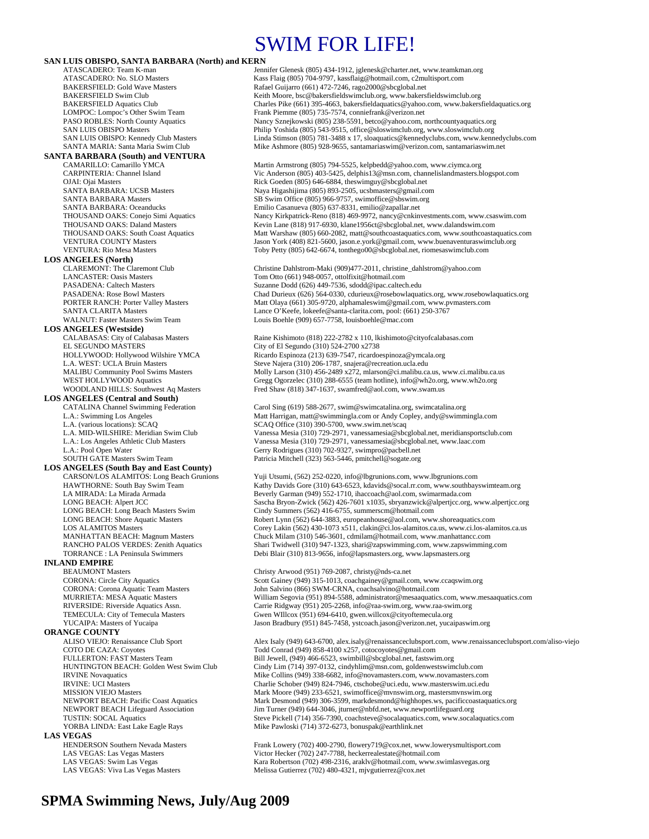# SWIM FOR LIFE!

|  | <b>SAN LUIS OBISPO, SANTA BARBARA (North) and KERN</b> |  |  |
|--|--------------------------------------------------------|--|--|
|  |                                                        |  |  |

**SANTA BARBARA (South) and VENTURA** 

**LOS ANGELES (North)** 

**LOS ANGELES (Westside)** EL SEGUNDO MASTERS City of El Segundo (310) 524-2700 x2738<br>
HOLLYWOOD: Hollywood Wilshire YMCA Ricardo Espinoza (213) 639-7547, ricardo

- **LOS ANGELES (Central and South)** 
	-
	-

**LOS ANGELES (South Bay and East County)** 

#### **INLAND EMPIRE**

**ORANGE COUNTY**<br>ALISO VIEJO: Renaissance Club Sport **LAS VEGAS** 

ATASCADERO: Team K-man Jennifer Glenesk (805) 434-1912, jglenesk @charter.net, www.teamkman.org<br>ATASCADERO: No. SLO Masters Kass Flaig (805) 704-9797. kassflaig @hotmail.com. c2multisport.com ATASCADERO: No. SLO Masters Kass Flaig (805) 704-9797, kassflaig@hotmail.com, c2multisport.com<br>BAKERSFIELD: Gold Wave Masters Rafael Guijarro (661) 472-7246, rago2000@sbcglobal.net BAKERSFIELD: Gold Wave Masters **Rafael Guijarro (661) 472-7246**, rago2000@sbcglobal.net<br>BAKERSFIELD Swim Club **Rafael Start Register Registers** Keith Moore, bsc@bakersfieldswimclub.org, www.bakersf BAKERSFIELD Swim Club<br>BAKERSFIELD Aquatics Club Charles Pike (661) 395-4663, bakersfieldaquatics @yahoo.com, www.bakersf BAKERSFIELD Aquatics Club Charles Pike (661) 395-4663, bakersfieldaquatics@yahoo.com, www.bakersfieldaquatics.org<br>COMPOC: Lompoc's Other Swim Team Fram Frank Piemme (805) 735-7574, conniefrank@verizon.net LOMPOC: Lompoc's Other Swim Team Frank Piemme (805) 735-7574, conniefrank @verizon.net<br>PASO ROBLES: North County Aquatics Nancy Sznejkowski (805) 238-5591, betco@yahoo.com, r PASO ROBLES: North County Aquatics Nancy Sznejkowski (805) 238-5591, betco@yahoo.com, northcountyaquatics.org<br>Philip Yoshida (805) 543-9515, office@sloswimclub.org. www.sloswimclub.org SAN LUIS OBISPO Masters<br>
SAN LUIS OBISPO: Kennedy Club Masters<br>
Einda Stimson (805) 781-3488 x 17, sloaquatics@kennedyclubs.com, www.kenne Linda Stimson (805) 781-3488 x 17, sloaquatics@kennedyclubs.com, www.kennedyclubs.com SANTA MARIA: Santa Maria Swim Club Mike Ashmore (805) 928-9655, santamariaswim@verizon.com, santamariaswim.net

CAMARILLO: Camarillo YMCA Martin Armstrong (805) 794-5525, kelpbedd@yahoo.com, www.ciymca.org<br>CARPINTERIA: Channel Island Vic Anderson (805) 403-5425, delphis13@msn.com, channelislandmasters.b CARPINTERIA: Channel Island Vic Anderson (805) 403-5425, delphis13@msn.com, channelislandmasters.blogspot.com<br>OJAI: Ojai Masters Ulgaspot.com<br>Rick Goeden (805) 646-6884, theswimguy@sbcglobal.net OJAI: Ojai Masters **Calcularis Rick Goeden (805) 646-6884**, theswimguy@sbcglobal.net<br>
SANTA BARBARA: UCSB Masters **Rick Goeden (805) 893-2505**, ucsbmasters @gmail.co SANTA BARBARA: UCSB Masters Naya Higashijima (805) 893-2505, ucsbmasters@gmail.com<br>SANTA BARBARA Masters SB Swim Office (805) 966-9757, swimoffice@sbswim.org SANTA BARBARA Masters SB Swim Office (805) 966-9757, swimoffice@sbswim.org<br>SANTA BARBARA: Oceanducks Emilio Casanueva (805) 637-8331, emilio@zapallar.net SANTA BARBARA: Oceanducks Emilio Casanueva (805) 637-8331, emilio@zapallar.net<br>
THOUSAND OAKS: Conejo Simi Aquatics Nancy Kirkpatrick-Reno (818) 469-9972, nancy@cnkinv THOUSAND OAKS: Conejo Simi Aquatics Nancy Kirkpatrick-Reno (818) 469-9972, nancy@cnkinvestments.com, www.csaswim.com<br>THOUSAND OAKS: Daland Masters Kevin Lane (818) 917-6930. klane1956ct@sbcelobal.net. www.dalandswim.com THOUSAND OAKS: Daland Masters Kevin Lane (818) 917-6930, klane1956ct@sbcglobal.net, www.dalandswim.com<br>THOUSAND OAKS: South Coast Aquatics Matt Warshaw (805) 660-2082, matt@southcoastaquatics.com, www.southcoasta THOUSAND OAKS: South Coast Aquatics Matt Warshaw (805) 660-2082, matt@southcoastaquatics.com, www.southcoastaquatics.com<br>Matt Warshaw Matters Matters Matt Matt Matt Marshaw (805) 660-2082, matt@southcoastaquatics.com, www. VENTURA COUNTY Masters<br>
VENTURA · Rio Mesa Masters Toby Petty (805) 642-6674 tonthego()0@shcglobal net\_riomesaswimclub.org<br>
VENTURA · Rio Mesa Masters Toby Petty (805) 642-6674, tonthego00@sbcglobal.net, riomesaswimclub.com

Christine Dahlstrom-Maki (909)477-2011, christine\_dahlstrom@yahoo.com LANCASTER: Oasis Masters Tom Otto (661) 948-0057, ottolfixit@hotmail.com<br>
PASADENA: Caltech Masters Tom Collection Suzanne Dodd (626) 449-7536, sdodd@ipac.caltec PASADENA: Caltech Masters Suzanne Dodd (626) 449-7536, sdodd@ipac.caltech.edu<br>PASADENA: Rose Bowl Masters Suzanne Chad Durieux (626) 564-0330, cdurieux @rosebowlaqua PASADENA: Rose Bowl Masters Chad Durieux (626) 564-0330, cdurieux @rosebowlaquatics.org, www.rosebowlaquatics.org<br>
PORTER RANCH: Porter Valley Masters Com Matt Olaya (661) 305-9720, alphamaleswim@gmail.com, www.pymasters.c Matt Olaya (661) 305-9720, alphamaleswim@gmail.com, www.pvmasters.com SANTA CLARITA Masters<br>
WALNUT: Faster Masters Swim Team

Louis Boehle (909) 657-7758, louisboehle@mac.com

Louis Boehle (909) 657-7758, louisboehle@mac.com Louis Boehle (909) 657-7758, louisboehle@mac.com

CALABASAS: City of Calabasas Masters Raine Kishimoto (818) 222-2782 x 110, lkishimoto@cityofcalabasas.com<br>EL SEGUNDO MASTERS City of El Segundo (310) 524-2700 x2738 Ricardo Espinoza (213) 639-7547, ricardoespinoza@ymcala.org L.A. WEST: UCLA Bruin Masters Steve Najera (310) 206-1787, snajera@recreation.ucla.edu<br>MALIBU Community Pool Swims Masters Mully Larson (310) 456-2489 x272, mlarson@ci.malibu.ca MALIBU Community Pool Swims Masters Molly Larson (310) 456-2489 x272, mlarson @ci.malibu.ca.us, www.ci.malibu.ca.us<br>WEST HOLLYWOOD Aquatics Gregg Ogorzelec (310) 288-6555 (team hotline), info@wh2o.org, www.wh2o.org WEST HOLLYWOOD Aquatics Gregg Ogorzelec (310) 288-6555 (team hotline), info@wh2o.org, www.wh2o.org<br>WOODLAND HILLS: Southwest Aq Masters Fred Shaw (818) 347-1637, swamfred@aol.com, www.swam.us Fred Shaw (818) 347-1637, swamfred@aol.com, www.swam.us

Carol Sing (619) 588-2677, swim@swimcatalina.org, swimcatalina.org L.A.: Swimming Los Angeles Matt Harrigan, matt @swimmingla.com or Andy Copley, andy @swimmingla.com<br>L.A. (various locations): SCAQ SCAQ SCAQ Office (310) 390-5700, www.swim.net/scaq L.A. (various locations): SCAQ SCAQ SCAQ SCAQ Office (310) 390-5700, www.swim.net/scaq L.A. MID-WILSHIRE: Meridian Swim Club Vanessa Mesia (310) 729-2971, vanessamesia@sbc L.A. MID-WILSHIRE: Meridian Swim Club Vanessa Mesia (310) 729-2971, vanessamesia@sbcglobal.net, meridiansportsclub.com Vanessa Mesia (310) 729-2971, vanessamesia@sbcglobal.net, www.laac.com L.A.: Pool Open Water Gerry Rodrigues (310) 702-9327, swimpro@pacbell.net SOUTH GATE Masters Swim Team (2009) 702-9327, swimpro@pacbell.net Patricia Mitchell (323) 563-5446, pmitchell@sogate.org

Yuji Utsumi, (562) 252-0220, info@lbgrunions.com, www.lbgrunions.com HAWTHORNE: South Bay Swim Team Kathy Davids Gore (310) 643-6523, kdavids@socal.rr.com, www.southbayswimteam.org LA MIRADA: La Mirada Armada Beverly Garman (949) 552-1710, ihaccoach@aol.com, swimarmada.com LONG BEACH: Alpert JCC Sascha Bryon-Zwick (562) 426-7601 x1035, sbryanzwick@alpertjcc.org, www.alpertjcc.org<br>Cindy Summers (562) 416-6755, summerscm@hotmail.com LONG BEACH: Long Beach Masters Swim Cindy Summers (562) 416-6755, summerscm@hotmail.com Robert Lynn (562) 644-3883, europeanhouse@aol.com, www.shoreaquatics.com LOS ALAMITOS Masters Corey Lakin (562) 430-1073 x511, clakin@ci.los-alamitos.ca.us, www.ci.los-alamitos.ca.us<br>MANHATTAN BEACH: Magnum Masters Chuck Milam (310) 546-3601, cdmilam@hotmail.com, www.manhattancc.com MANHATTAN BEACH: Magnum Masters Chuck Milam (310) 546-3601, cdmilam@hotmail.com, www.manhattancc.com<br>RANCHO PALOS VERDES: Zenith Aquatics Shari Twidwell (310) 947-1323, shari@zapswimming.com, www.zapswimming RANCHO PALOS VERDES: Zenith Aquatics Shari Twidwell (310) 947-1323, shari@zapswimming.com, www.zapswimming.com<br>TORRANCE : LA Peninsula Swimmers Debi Blair (310) 813-9656, info@lapsmasters.org, www.lapsmasters.org Debi Blair (310) 813-9656, info@lapsmasters.org, www.lapsmasters.org

BEAUMONT Masters Christy Arwood (951) 769-2087, christy@nds-ca.net CORONA: Circle City Aquatics Scott Gainey (949) 315-1013, coachgainey@gmail.com, www.ccaqswim.org CORONA: Corona Aquatic Team Masters John Salvino (866) SWM-CRNA, coachsalvino@hotmail.com MURRIETA: MESA Aquatic Masters William Segovia (951) 894-5588, administrator@mesaaquatics.com, www.mesaaquatics.com RIVERSIDE: Riverside Aquatics Assn. Carrie Ridgway (951) 205-2268, info@raa-swim.org, www.raa-swim.org TEMECULA: City of Temecula Masters Gwen WIllcox (951) 694-6410, gwen.willcox @cityoftemecula.org<br>TUCAIPA: Masters of Yucaipa Guen Gases Jason Bradbury (951) 845-7458, ystcoach.jason@verizon.net, yuca Jason Bradbury (951) 845-7458, ystcoach.jason@verizon.net, yucaipaswim.org

ALISO VIEJO: Renaissance Club Sport Alex Isaly (949) 643-6700, alex.isaly@renaissanceclubsport.com, www.renaissanceclubsport.com/aliso-viejo<br>COTO DE CAZA: Coyotes Cub Sport Todd Conrad (949) 858-4100 x257, cotocoyotes@gmai Todd Conrad (949) 858-4100 x257, cotocoyotes@gmail.com FULLERTON: FAST Masters Team Bill Jewell, (949) 466-6523, swimbill@sbcglobal.net, fastswim.org HUNTINGTON BEACH: Golden West Swim Club Cindy Lim (714) 397-0132, cindyhlim@msn.com, goldenwestswimclub.com Mike Collins (949) 338-6682, info@novamasters.com, www.novamasters.com IRVINE: UCI Masters Charlie Schober (949) 824-7946, ctschobe@uci.edu, www.masterswim.uci.edu MISSION VIEJO Masters Mark Moore (949) 233-6521, swimoffice@mvnswim.org, mastersmvnswim.org<br>Mark Desmond (949) 306-3599, markdesmond@highhopes.ws, pacificcoastaqua NEWPORT BEACH: Pacific Coast Aquatics Mark Desmond (949) 306-3599, markdesmond@highhopes.ws, pacificcoastaquatics.org<br>Mark Desmond (949) 644-3046, jturner@nbfd.net, www.newportlifeguard.org<br>Mark Desmond: Jim Turner (949) 6 Jim Turner (949) 644-3046, jturner@nbfd.net, www.newportlifeguard.org TUSTIN: SOCAL Aquatics Steve Pickell (714) 356-7390, coachsteve@socalaquatics.com, www.socalaquatics.com<br>TORBA LINDA: East Lake Eagle Rays Mike Pawloski (714) 372-6273, bonuspak@earthlink.net Mike Pawloski (714) 372-6273, bonuspak@earthlink.net

HENDERSON Southern Nevada Masters Frank Lowery (702) 400-2790, flowery719@cox.net, www.lowerysmultisport.com LAS VEGAS: Las Vegas Masters Victor Hecker (702) 247-7788, heckerrealestate@hotmail.com LAS VEGAS: Swim Las Vegas Kara Robertson (702) 498-2316, araklv@hotmail.com, www.swimlasvegas.org LAS VEGAS: Viva Las Vegas Masters Melissa Gutierrez (702) 480-4321, mjvgutierrez@cox.net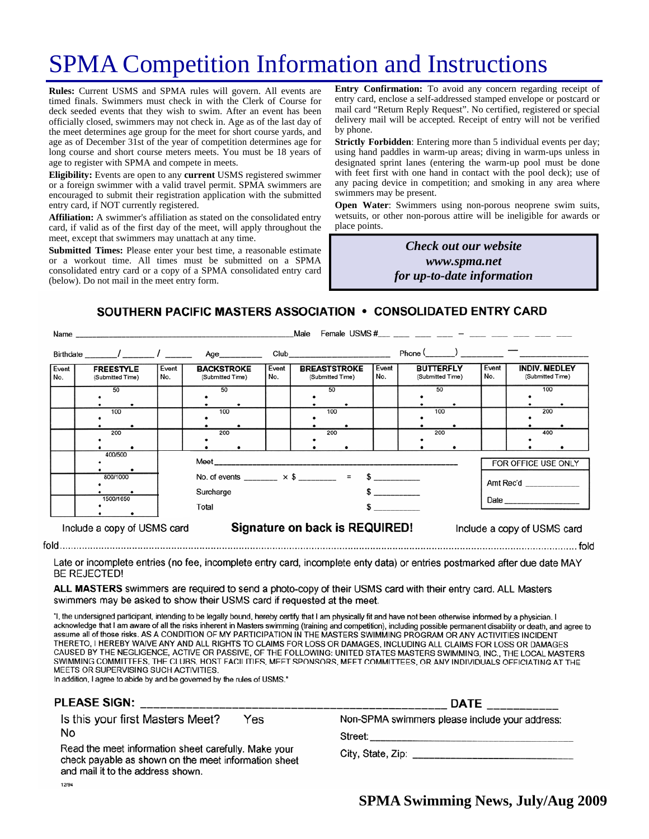# SPMA Competition Information and Instructions

**Rules:** Current USMS and SPMA rules will govern. All events are timed finals. Swimmers must check in with the Clerk of Course for deck seeded events that they wish to swim. After an event has been officially closed, swimmers may not check in. Age as of the last day of the meet determines age group for the meet for short course yards, and age as of December 31st of the year of competition determines age for long course and short course meters meets. You must be 18 years of age to register with SPMA and compete in meets.

**Eligibility:** Events are open to any **current** USMS registered swimmer or a foreign swimmer with a valid travel permit. SPMA swimmers are encouraged to submit their registration application with the submitted entry card, if NOT currently registered.

**Affiliation:** A swimmer's affiliation as stated on the consolidated entry card, if valid as of the first day of the meet, will apply throughout the meet, except that swimmers may unattach at any time.

**Submitted Times:** Please enter your best time, a reasonable estimate or a workout time. All times must be submitted on a SPMA consolidated entry card or a copy of a SPMA consolidated entry card (below). Do not mail in the meet entry form.

**Entry Confirmation:** To avoid any concern regarding receipt of entry card, enclose a self-addressed stamped envelope or postcard or mail card "Return Reply Request". No certified, registered or special delivery mail will be accepted. Receipt of entry will not be verified by phone.

**Strictly Forbidden**: Entering more than 5 individual events per day; using hand paddles in warm-up areas; diving in warm-ups unless in designated sprint lanes (entering the warm-up pool must be done with feet first with one hand in contact with the pool deck); use of any pacing device in competition; and smoking in any area where swimmers may be present.

**Open Water**: Swimmers using non-porous neoprene swim suits, wetsuits, or other non-porous attire will be ineligible for awards or place points.

> *Check out our website www.spma.net for up-to-date information*

SOUTHERN PACIFIC MASTERS ASSOCIATION • CONSOLIDATED ENTRY CARD

|                             | Name                                 |              |                                                                                                                                                   |               |              | Male | Female USMS $\#$ $-$                                                                                                                                                                                                           |              |                  |                  |              |  |                                          |
|-----------------------------|--------------------------------------|--------------|---------------------------------------------------------------------------------------------------------------------------------------------------|---------------|--------------|------|--------------------------------------------------------------------------------------------------------------------------------------------------------------------------------------------------------------------------------|--------------|------------------|------------------|--------------|--|------------------------------------------|
|                             |                                      |              |                                                                                                                                                   | Age__________ |              |      | Club and the contract of the contract of the contract of the contract of the contract of the contract of the contract of the contract of the contract of the contract of the contract of the contract of the contract of the c |              | $Phone ($ $)$    |                  |              |  |                                          |
| Event<br>No.                | <b>FREESTYLE</b><br>(Submitted Time) | Event<br>No. | <b>BACKSTROKE</b><br>(Submitted Time)                                                                                                             |               | Event<br>No. |      | <b>BREASTSTROKE</b><br>(Submitted Time)                                                                                                                                                                                        | Event<br>No. | <b>BUTTERFLY</b> | (Submitted Time) | Event<br>No. |  | <b>INDIV. MEDLEY</b><br>(Submitted Time) |
|                             | 50<br>100                            |              | 50<br>100                                                                                                                                         |               |              |      | 50<br>100                                                                                                                                                                                                                      |              |                  | 50<br>100        |              |  | 100<br>200                               |
|                             | 200                                  |              | 200                                                                                                                                               |               |              |      | 200                                                                                                                                                                                                                            |              |                  | 200              |              |  | 400                                      |
|                             | 400/500<br>800/1000<br>1500/1650     |              | Meet ____________________<br>FOR OFFICE USE ONLY<br>No. of events ________ $\times$ \$ ________ = \$ _________<br>Amt Rec'd<br>Surcharge<br>Total |               |              |      |                                                                                                                                                                                                                                |              |                  |                  |              |  |                                          |
| Include a copy of USMS card |                                      |              | Signature on back is REQUIRED!<br>Include a copy of USMS card                                                                                     |               |              |      |                                                                                                                                                                                                                                |              |                  |                  |              |  |                                          |

Late or incomplete entries (no fee, incomplete entry card, incomplete enty data) or entries postmarked after due date MAY **BE REJECTED!** 

ALL MASTERS swimmers are required to send a photo-copy of their USMS card with their entry card. ALL Masters swimmers may be asked to show their USMS card if requested at the meet.

"I, the undersigned participant, intending to be legally bound, hereby certify that I am physically fit and have not been otherwise informed by a physician. I acknowledge that I am aware of all the risks inherent in Masters swimming (training and competition), including possible permanent disability or death, and agree to assume all of those risks. AS A CONDITION OF MY PARTICIPATION IN THE MASTERS SWIMMING PROGRAM OR ANY ACTIVITIES INCIDENT THERETO, I HEREBY WAIVE ANY AND ALL RIGHTS TO CLAIMS FOR LOSS OR DAMAGES, INCLUDING ALL CLAIMS FOR LOSS OR DAMAGES CAUSED BY THE NEGLIGENCE, ACTIVE OR PASSIVE, OF THE FOLLOWING: UNITED STATES MASTERS SWIMMING, INC., THE LOCAL MASTERS SWIMMING COMMITTEES, THE CLUBS, HOST FACILITIES, MEET SPONSORS, MEET COMMITTEES, OR ANY INDIVIDUALS OFFICIATING AT THE MEETS OR SUPERVISING SUCH ACTIVITIES.

In addition, I agree to abide by and be governed by the rules of USMS."

#### **PLEASE SIGN:**

Is this your first Masters Meet? Yes No

Read the meet information sheet carefully. Make your check payable as shown on the meet information sheet and mail it to the address shown. 12/94

| DATE ____________                              |  |
|------------------------------------------------|--|
| Non-SPMA swimmers please include your address: |  |

Street:

City, State, Zip: Electric Article Article Article Article Article Article Article Article Article Article Article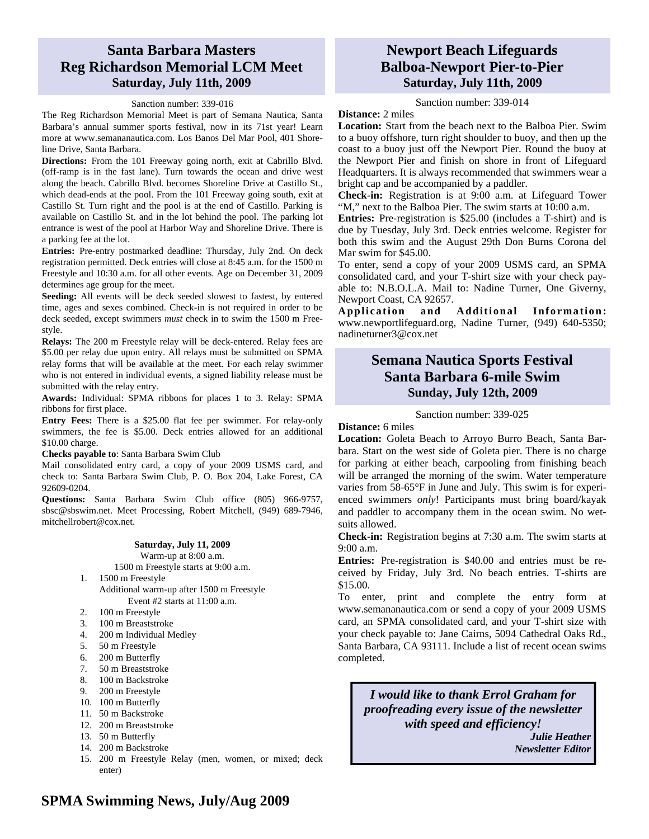#### **Santa Barbara Masters Reg Richardson Memorial LCM Meet Saturday, July 11th, 2009**

#### Sanction number: 339-016

The Reg Richardson Memorial Meet is part of Semana Nautica, Santa Barbara's annual summer sports festival, now in its 71st year! Learn more at www.semananautica.com. Los Banos Del Mar Pool, 401 Shoreline Drive, Santa Barbara.

**Directions:** From the 101 Freeway going north, exit at Cabrillo Blvd. (off-ramp is in the fast lane). Turn towards the ocean and drive west along the beach. Cabrillo Blvd. becomes Shoreline Drive at Castillo St., which dead-ends at the pool. From the 101 Freeway going south, exit at Castillo St. Turn right and the pool is at the end of Castillo. Parking is available on Castillo St. and in the lot behind the pool. The parking lot entrance is west of the pool at Harbor Way and Shoreline Drive. There is a parking fee at the lot.

**Entries:** Pre-entry postmarked deadline: Thursday, July 2nd. On deck registration permitted. Deck entries will close at 8:45 a.m. for the 1500 m Freestyle and 10:30 a.m. for all other events. Age on December 31, 2009 determines age group for the meet.

**Seeding:** All events will be deck seeded slowest to fastest, by entered time, ages and sexes combined. Check-in is not required in order to be deck seeded, except swimmers *must* check in to swim the 1500 m Freestyle.

**Relays:** The 200 m Freestyle relay will be deck-entered. Relay fees are \$5.00 per relay due upon entry. All relays must be submitted on SPMA relay forms that will be available at the meet. For each relay swimmer who is not entered in individual events, a signed liability release must be submitted with the relay entry.

**Awards:** Individual: SPMA ribbons for places 1 to 3. Relay: SPMA ribbons for first place.

**Entry Fees:** There is a \$25.00 flat fee per swimmer. For relay-only swimmers, the fee is \$5.00. Deck entries allowed for an additional \$10.00 charge.

#### **Checks payable to**: Santa Barbara Swim Club

Mail consolidated entry card, a copy of your 2009 USMS card, and check to: Santa Barbara Swim Club, P. O. Box 204, Lake Forest, CA 92609-0204.

**Questions:** Santa Barbara Swim Club office (805) 966-9757, sbsc@sbswim.net. Meet Processing, Robert Mitchell, (949) 689-7946, mitchellrobert@cox.net.

#### **Saturday, July 11, 2009**

Warm-up at 8:00 a.m.

- 1500 m Freestyle starts at 9:00 a.m.
- 1. 1500 m Freestyle Additional warm-up after 1500 m Freestyle Event #2 starts at 11:00 a.m.
- 2. 100 m Freestyle
- 3. 100 m Breaststroke
- 4. 200 m Individual Medley
- 5. 50 m Freestyle
- 6. 200 m Butterfly
- 7. 50 m Breaststroke
- 8. 100 m Backstroke
- 9. 200 m Freestyle
- 10. 100 m Butterfly
- 11. 50 m Backstroke
- 12. 200 m Breaststroke
- 13. 50 m Butterfly
- 14. 200 m Backstroke
- 15. 200 m Freestyle Relay (men, women, or mixed; deck enter)

#### **Newport Beach Lifeguards Balboa-Newport Pier-to-Pier Saturday, July 11th, 2009**

Sanction number: 339-014

**Distance:** 2 miles

**Location:** Start from the beach next to the Balboa Pier. Swim to a buoy offshore, turn right shoulder to buoy, and then up the coast to a buoy just off the Newport Pier. Round the buoy at the Newport Pier and finish on shore in front of Lifeguard Headquarters. It is always recommended that swimmers wear a bright cap and be accompanied by a paddler.

**Check-in:** Registration is at 9:00 a.m. at Lifeguard Tower "M," next to the Balboa Pier. The swim starts at 10:00 a.m.

**Entries:** Pre-registration is \$25.00 (includes a T-shirt) and is due by Tuesday, July 3rd. Deck entries welcome. Register for both this swim and the August 29th Don Burns Corona del Mar swim for \$45.00.

To enter, send a copy of your 2009 USMS card, an SPMA consolidated card, and your T-shirt size with your check payable to: N.B.O.L.A. Mail to: Nadine Turner, One Giverny, Newport Coast, CA 92657.

Application and Additional Information: www.newportlifeguard.org, Nadine Turner, (949) 640-5350; nadineturner3@cox.net

#### **Semana Nautica Sports Festival Santa Barbara 6-mile Swim Sunday, July 12th, 2009**

#### Sanction number: 339-025

**Distance:** 6 miles

**Location:** Goleta Beach to Arroyo Burro Beach, Santa Barbara. Start on the west side of Goleta pier. There is no charge for parking at either beach, carpooling from finishing beach will be arranged the morning of the swim. Water temperature varies from 58-65°F in June and July. This swim is for experienced swimmers *only*! Participants must bring board/kayak and paddler to accompany them in the ocean swim. No wetsuits allowed.

**Check-in:** Registration begins at 7:30 a.m. The swim starts at 9:00 a.m.

**Entries:** Pre-registration is \$40.00 and entries must be received by Friday, July 3rd. No beach entries. T-shirts are \$15.00.

To enter, print and complete the entry form at www.semananautica.com or send a copy of your 2009 USMS card, an SPMA consolidated card, and your T-shirt size with your check payable to: Jane Cairns, 5094 Cathedral Oaks Rd., Santa Barbara, CA 93111. Include a list of recent ocean swims completed.

*I would like to thank Errol Graham for proofreading every issue of the newsletter with speed and efficiency!* 

> *Julie Heather Newsletter Editor*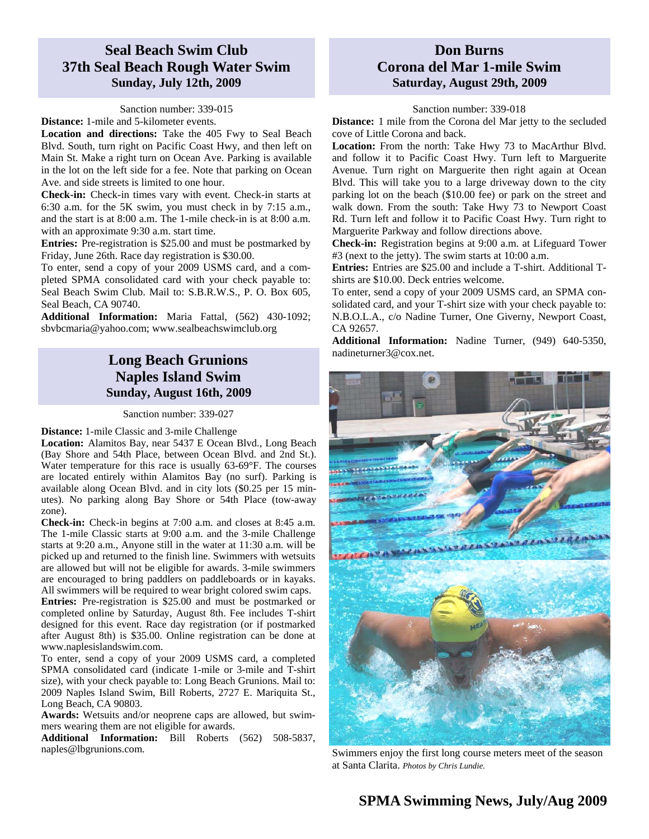## **Seal Beach Swim Club 37th Seal Beach Rough Water Swim Sunday, July 12th, 2009**

#### Sanction number: 339-015

**Distance:** 1-mile and 5-kilometer events.

**Location and directions:** Take the 405 Fwy to Seal Beach Blvd. South, turn right on Pacific Coast Hwy, and then left on Main St. Make a right turn on Ocean Ave. Parking is available in the lot on the left side for a fee. Note that parking on Ocean Ave. and side streets is limited to one hour.

**Check-in:** Check-in times vary with event. Check-in starts at 6:30 a.m. for the 5K swim, you must check in by 7:15 a.m., and the start is at 8:00 a.m. The 1-mile check-in is at 8:00 a.m. with an approximate 9:30 a.m. start time.

**Entries:** Pre-registration is \$25.00 and must be postmarked by Friday, June 26th. Race day registration is \$30.00.

To enter, send a copy of your 2009 USMS card, and a completed SPMA consolidated card with your check payable to: Seal Beach Swim Club. Mail to: S.B.R.W.S., P. O. Box 605, Seal Beach, CA 90740.

**Additional Information:** Maria Fattal, (562) 430-1092; sbvbcmaria@yahoo.com; www.sealbeachswimclub.org

### **Long Beach Grunions Naples Island Swim Sunday, August 16th, 2009**

Sanction number: 339-027

#### **Distance:** 1-mile Classic and 3-mile Challenge

**Location:** Alamitos Bay, near 5437 E Ocean Blvd., Long Beach (Bay Shore and 54th Place, between Ocean Blvd. and 2nd St.). Water temperature for this race is usually 63-69°F. The courses are located entirely within Alamitos Bay (no surf). Parking is available along Ocean Blvd. and in city lots (\$0.25 per 15 minutes). No parking along Bay Shore or 54th Place (tow-away zone).

**Check-in:** Check-in begins at 7:00 a.m. and closes at 8:45 a.m. The 1-mile Classic starts at 9:00 a.m. and the 3-mile Challenge starts at 9:20 a.m., Anyone still in the water at 11:30 a.m. will be picked up and returned to the finish line. Swimmers with wetsuits are allowed but will not be eligible for awards. 3-mile swimmers are encouraged to bring paddlers on paddleboards or in kayaks. All swimmers will be required to wear bright colored swim caps.

**Entries:** Pre-registration is \$25.00 and must be postmarked or completed online by Saturday, August 8th. Fee includes T-shirt designed for this event. Race day registration (or if postmarked after August 8th) is \$35.00. Online registration can be done at www.naplesislandswim.com.

To enter, send a copy of your 2009 USMS card, a completed SPMA consolidated card (indicate 1-mile or 3-mile and T-shirt size), with your check payable to: Long Beach Grunions. Mail to: 2009 Naples Island Swim, Bill Roberts, 2727 E. Mariquita St., Long Beach, CA 90803.

**Awards:** Wetsuits and/or neoprene caps are allowed, but swimmers wearing them are not eligible for awards.

**Additional Information:** Bill Roberts (562) 508-5837, naples@lbgrunions.com.

#### **Don Burns Corona del Mar 1-mile Swim Saturday, August 29th, 2009**

#### Sanction number: 339-018

**Distance:** 1 mile from the Corona del Mar jetty to the secluded cove of Little Corona and back.

**Location:** From the north: Take Hwy 73 to MacArthur Blvd. and follow it to Pacific Coast Hwy. Turn left to Marguerite Avenue. Turn right on Marguerite then right again at Ocean Blvd. This will take you to a large driveway down to the city parking lot on the beach (\$10.00 fee) or park on the street and walk down. From the south: Take Hwy 73 to Newport Coast Rd. Turn left and follow it to Pacific Coast Hwy. Turn right to Marguerite Parkway and follow directions above.

**Check-in:** Registration begins at 9:00 a.m. at Lifeguard Tower #3 (next to the jetty). The swim starts at 10:00 a.m.

**Entries:** Entries are \$25.00 and include a T-shirt. Additional Tshirts are \$10.00. Deck entries welcome.

To enter, send a copy of your 2009 USMS card, an SPMA consolidated card, and your T-shirt size with your check payable to: N.B.O.L.A., c/o Nadine Turner, One Giverny, Newport Coast, CA 92657.

**Additional Information:** Nadine Turner, (949) 640-5350, nadineturner3@cox.net.



Swimmers enjoy the first long course meters meet of the season at Santa Clarita. *Photos by Chris Lundie.*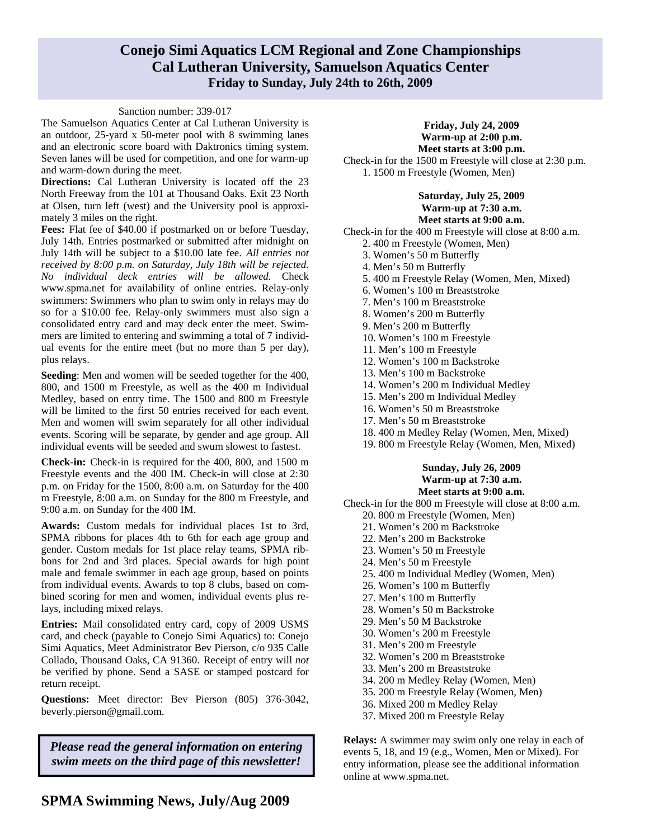#### **Conejo Simi Aquatics LCM Regional and Zone Championships Cal Lutheran University, Samuelson Aquatics Center Friday to Sunday, July 24th to 26th, 2009**

#### Sanction number: 339-017

The Samuelson Aquatics Center at Cal Lutheran University is an outdoor, 25-yard x 50-meter pool with 8 swimming lanes and an electronic score board with Daktronics timing system. Seven lanes will be used for competition, and one for warm-up and warm-down during the meet.

**Directions:** Cal Lutheran University is located off the 23 North Freeway from the 101 at Thousand Oaks. Exit 23 North at Olsen, turn left (west) and the University pool is approximately 3 miles on the right.

**Fees:** Flat fee of \$40.00 if postmarked on or before Tuesday, July 14th. Entries postmarked or submitted after midnight on July 14th will be subject to a \$10.00 late fee. *All entries not received by 8:00 p.m. on Saturday, July 18th will be rejected. No individual deck entries will be allowed.* Check www.spma.net for availability of online entries. Relay-only swimmers: Swimmers who plan to swim only in relays may do so for a \$10.00 fee. Relay-only swimmers must also sign a consolidated entry card and may deck enter the meet. Swimmers are limited to entering and swimming a total of 7 individual events for the entire meet (but no more than 5 per day), plus relays.

**Seeding**: Men and women will be seeded together for the 400, 800, and 1500 m Freestyle, as well as the 400 m Individual Medley, based on entry time. The 1500 and 800 m Freestyle will be limited to the first 50 entries received for each event. Men and women will swim separately for all other individual events. Scoring will be separate, by gender and age group. All individual events will be seeded and swum slowest to fastest.

**Check-in:** Check-in is required for the 400, 800, and 1500 m Freestyle events and the 400 IM. Check-in will close at 2:30 p.m. on Friday for the 1500, 8:00 a.m. on Saturday for the 400 m Freestyle, 8:00 a.m. on Sunday for the 800 m Freestyle, and 9:00 a.m. on Sunday for the 400 IM.

**Awards:** Custom medals for individual places 1st to 3rd, SPMA ribbons for places 4th to 6th for each age group and gender. Custom medals for 1st place relay teams, SPMA ribbons for 2nd and 3rd places. Special awards for high point male and female swimmer in each age group, based on points from individual events. Awards to top 8 clubs, based on combined scoring for men and women, individual events plus relays, including mixed relays.

**Entries:** Mail consolidated entry card, copy of 2009 USMS card, and check (payable to Conejo Simi Aquatics) to: Conejo Simi Aquatics, Meet Administrator Bev Pierson, c/o 935 Calle Collado, Thousand Oaks, CA 91360. Receipt of entry will *not*  be verified by phone. Send a SASE or stamped postcard for return receipt.

**Questions:** Meet director: Bev Pierson (805) 376-3042, beverly.pierson@gmail.com.

*Please read the general information on entering swim meets on the third page of this newsletter!* 

#### **Friday, July 24, 2009 Warm-up at 2:00 p.m. Meet starts at 3:00 p.m.**

Check-in for the 1500 m Freestyle will close at 2:30 p.m. 1. 1500 m Freestyle (Women, Men)

#### **Saturday, July 25, 2009 Warm-up at 7:30 a.m. Meet starts at 9:00 a.m.**

Check-in for the 400 m Freestyle will close at 8:00 a.m.

- 2. 400 m Freestyle (Women, Men)
- 3. Women's 50 m Butterfly
- 4. Men's 50 m Butterfly
- 5. 400 m Freestyle Relay (Women, Men, Mixed)
- 6. Women's 100 m Breaststroke
- 7. Men's 100 m Breaststroke
- 8. Women's 200 m Butterfly
- 9. Men's 200 m Butterfly
- 10. Women's 100 m Freestyle
- 11. Men's 100 m Freestyle
- 12. Women's 100 m Backstroke
- 13. Men's 100 m Backstroke
- 14. Women's 200 m Individual Medley
- 15. Men's 200 m Individual Medley
- 16. Women's 50 m Breaststroke
- 17. Men's 50 m Breaststroke
- 18. 400 m Medley Relay (Women, Men, Mixed)
- 19. 800 m Freestyle Relay (Women, Men, Mixed)

#### **Sunday, July 26, 2009 Warm-up at 7:30 a.m. Meet starts at 9:00 a.m.**

- Check-in for the 800 m Freestyle will close at 8:00 a.m. 20. 800 m Freestyle (Women, Men)
	- 21. Women's 200 m Backstroke
	- 22. Men's 200 m Backstroke
	- 23. Women's 50 m Freestyle
	- 24. Men's 50 m Freestyle
	- 25. 400 m Individual Medley (Women, Men)
	- 26. Women's 100 m Butterfly
	- 27. Men's 100 m Butterfly
	- 28. Women's 50 m Backstroke
	- 29. Men's 50 M Backstroke
	- 30. Women's 200 m Freestyle
	- 31. Men's 200 m Freestyle
	- 32. Women's 200 m Breaststroke
	- 33. Men's 200 m Breaststroke
	- 34. 200 m Medley Relay (Women, Men)
	- 35. 200 m Freestyle Relay (Women, Men)
	- 36. Mixed 200 m Medley Relay
	- 37. Mixed 200 m Freestyle Relay

**Relays:** A swimmer may swim only one relay in each of events 5, 18, and 19 (e.g., Women, Men or Mixed). For entry information, please see the additional information online at www.spma.net.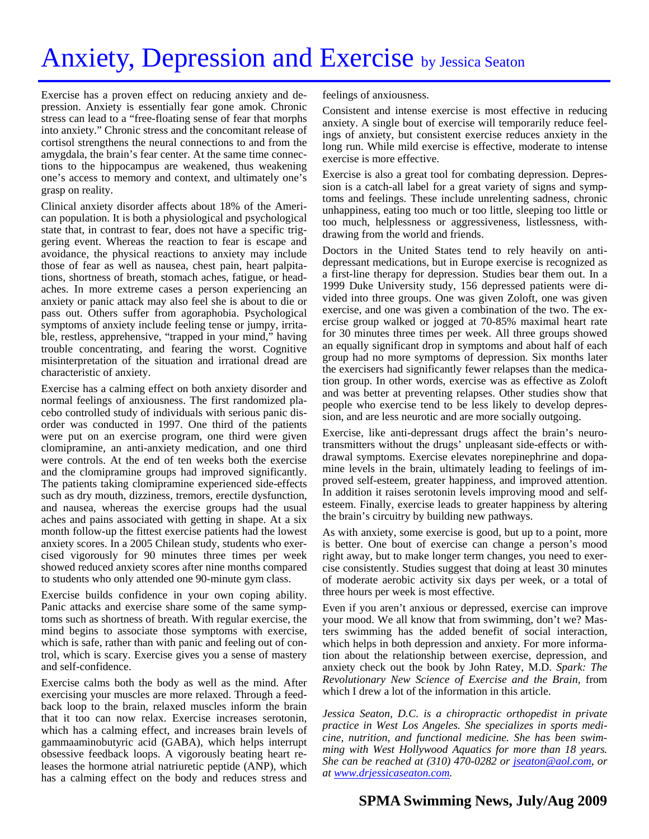# Anxiety, Depression and Exercise by Jessica Seaton

Exercise has a proven effect on reducing anxiety and depression. Anxiety is essentially fear gone amok. Chronic stress can lead to a "free-floating sense of fear that morphs into anxiety." Chronic stress and the concomitant release of cortisol strengthens the neural connections to and from the amygdala, the brain's fear center. At the same time connections to the hippocampus are weakened, thus weakening one's access to memory and context, and ultimately one's grasp on reality.

Clinical anxiety disorder affects about 18% of the American population. It is both a physiological and psychological state that, in contrast to fear, does not have a specific triggering event. Whereas the reaction to fear is escape and avoidance, the physical reactions to anxiety may include those of fear as well as nausea, chest pain, heart palpitations, shortness of breath, stomach aches, fatigue, or headaches. In more extreme cases a person experiencing an anxiety or panic attack may also feel she is about to die or pass out. Others suffer from agoraphobia. Psychological symptoms of anxiety include feeling tense or jumpy, irritable, restless, apprehensive, "trapped in your mind," having trouble concentrating, and fearing the worst. Cognitive misinterpretation of the situation and irrational dread are characteristic of anxiety.

Exercise has a calming effect on both anxiety disorder and normal feelings of anxiousness. The first randomized placebo controlled study of individuals with serious panic disorder was conducted in 1997. One third of the patients were put on an exercise program, one third were given clomipramine, an anti-anxiety medication, and one third were controls. At the end of ten weeks both the exercise and the clomipramine groups had improved significantly. The patients taking clomipramine experienced side-effects such as dry mouth, dizziness, tremors, erectile dysfunction, and nausea, whereas the exercise groups had the usual aches and pains associated with getting in shape. At a six month follow-up the fittest exercise patients had the lowest anxiety scores. In a 2005 Chilean study, students who exercised vigorously for 90 minutes three times per week showed reduced anxiety scores after nine months compared to students who only attended one 90-minute gym class.

Exercise builds confidence in your own coping ability. Panic attacks and exercise share some of the same symptoms such as shortness of breath. With regular exercise, the mind begins to associate those symptoms with exercise, which is safe, rather than with panic and feeling out of control, which is scary. Exercise gives you a sense of mastery and self-confidence.

Exercise calms both the body as well as the mind. After exercising your muscles are more relaxed. Through a feedback loop to the brain, relaxed muscles inform the brain that it too can now relax. Exercise increases serotonin, which has a calming effect, and increases brain levels of gammaaminobutyric acid (GABA), which helps interrupt obsessive feedback loops. A vigorously beating heart releases the hormone atrial natriuretic peptide (ANP), which has a calming effect on the body and reduces stress and

feelings of anxiousness.

Consistent and intense exercise is most effective in reducing anxiety. A single bout of exercise will temporarily reduce feelings of anxiety, but consistent exercise reduces anxiety in the long run. While mild exercise is effective, moderate to intense exercise is more effective.

Exercise is also a great tool for combating depression. Depression is a catch-all label for a great variety of signs and symptoms and feelings. These include unrelenting sadness, chronic unhappiness, eating too much or too little, sleeping too little or too much, helplessness or aggressiveness, listlessness, withdrawing from the world and friends.

Doctors in the United States tend to rely heavily on antidepressant medications, but in Europe exercise is recognized as a first-line therapy for depression. Studies bear them out. In a 1999 Duke University study, 156 depressed patients were divided into three groups. One was given Zoloft, one was given exercise, and one was given a combination of the two. The exercise group walked or jogged at 70-85% maximal heart rate for 30 minutes three times per week. All three groups showed an equally significant drop in symptoms and about half of each group had no more symptoms of depression. Six months later the exercisers had significantly fewer relapses than the medication group. In other words, exercise was as effective as Zoloft and was better at preventing relapses. Other studies show that people who exercise tend to be less likely to develop depression, and are less neurotic and are more socially outgoing.

Exercise, like anti-depressant drugs affect the brain's neurotransmitters without the drugs' unpleasant side-effects or withdrawal symptoms. Exercise elevates norepinephrine and dopamine levels in the brain, ultimately leading to feelings of improved self-esteem, greater happiness, and improved attention. In addition it raises serotonin levels improving mood and selfesteem. Finally, exercise leads to greater happiness by altering the brain's circuitry by building new pathways.

As with anxiety, some exercise is good, but up to a point, more is better. One bout of exercise can change a person's mood right away, but to make longer term changes, you need to exercise consistently. Studies suggest that doing at least 30 minutes of moderate aerobic activity six days per week, or a total of three hours per week is most effective.

Even if you aren't anxious or depressed, exercise can improve your mood. We all know that from swimming, don't we? Masters swimming has the added benefit of social interaction, which helps in both depression and anxiety. For more information about the relationship between exercise, depression, and anxiety check out the book by John Ratey, M.D. *Spark: The Revolutionary New Science of Exercise and the Brain,* from which I drew a lot of the information in this article.

*Jessica Seaton, D.C. is a chiropractic orthopedist in private practice in West Los Angeles. She specializes in sports medicine, nutrition, and functional medicine. She has been swimming with West Hollywood Aquatics for more than 18 years. She can be reached at (310) 470-0282 or jseaton@aol.com, or at www.drjessicaseaton.com.*